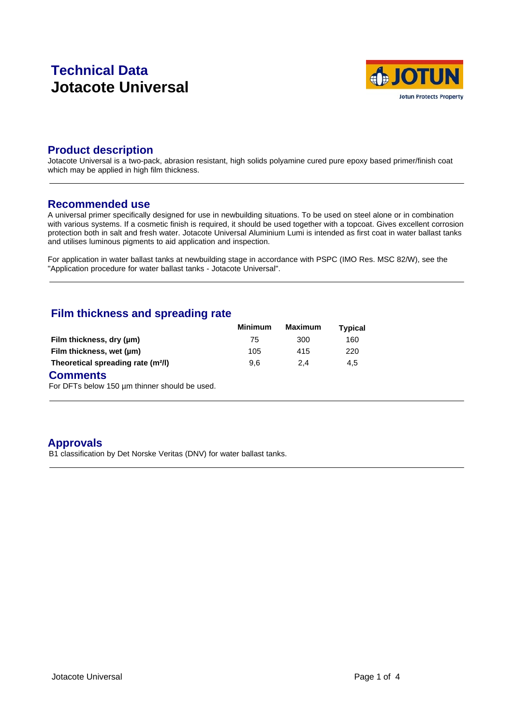# **Technical Data Jotacote Universal**



### **Product description**

Jotacote Universal is a two-pack, abrasion resistant, high solids polyamine cured pure epoxy based primer/finish coat which may be applied in high film thickness.

#### **Recommended use**

A universal primer specifically designed for use in newbuilding situations. To be used on steel alone or in combination with various systems. If a cosmetic finish is required, it should be used together with a topcoat. Gives excellent corrosion protection both in salt and fresh water. Jotacote Universal Aluminium Lumi is intended as first coat in water ballast tanks and utilises luminous pigments to aid application and inspection.

For application in water ballast tanks at newbuilding stage in accordance with PSPC (IMO Res. MSC 82/W), see the "Application procedure for water ballast tanks - Jotacote Universal".

### **Film thickness and spreading rate**

|                                                | <b>Minimum</b> | <b>Maximum</b> | <b>Typical</b> |  |
|------------------------------------------------|----------------|----------------|----------------|--|
| Film thickness, dry (µm)                       | 75             | 300            | 160            |  |
| Film thickness, wet (µm)                       | 105            | 415            | 220            |  |
| Theoretical spreading rate (m <sup>2</sup> /l) | 9.6            | 2.4            | 4.5            |  |

#### **Comments**

For DFTs below 150 µm thinner should be used.

### **Approvals**

B1 classification by Det Norske Veritas (DNV) for water ballast tanks.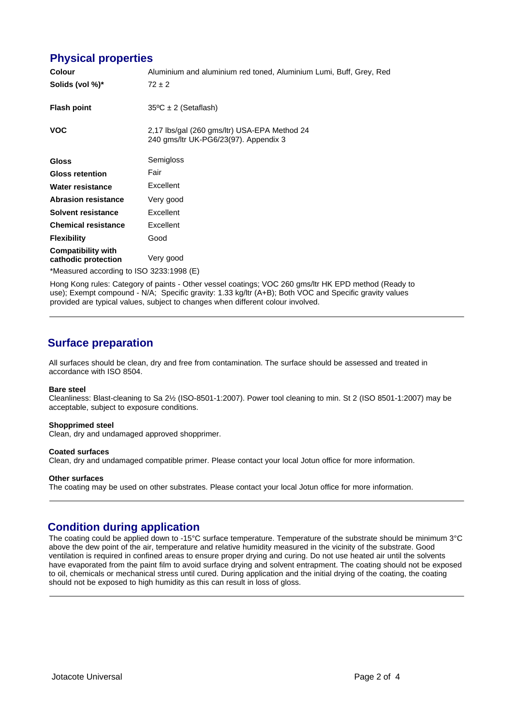### **Physical properties**

| <b>Colour</b>                                    | Aluminium and aluminium red toned, Aluminium Lumi, Buff, Grey, Red                    |
|--------------------------------------------------|---------------------------------------------------------------------------------------|
| Solids (vol %)*                                  | $72 \pm 2$                                                                            |
| <b>Flash point</b>                               | $35^{\circ}$ C ± 2 (Setaflash)                                                        |
| <b>VOC</b>                                       | 2,17 lbs/gal (260 gms/ltr) USA-EPA Method 24<br>240 gms/ltr UK-PG6/23(97). Appendix 3 |
| <b>Gloss</b>                                     | Semigloss                                                                             |
| <b>Gloss retention</b>                           | Fair                                                                                  |
| Water resistance                                 | Excellent                                                                             |
| <b>Abrasion resistance</b>                       | Very good                                                                             |
| <b>Solvent resistance</b>                        | Excellent                                                                             |
| <b>Chemical resistance</b>                       | Excellent                                                                             |
| <b>Flexibility</b>                               | Good                                                                                  |
| <b>Compatibility with</b><br>cathodic protection | Very good                                                                             |
| *Measured according to ISO 3233:1998 (E)         |                                                                                       |

Hong Kong rules: Category of paints - Other vessel coatings; VOC 260 gms/ltr HK EPD method (Ready to use); Exempt compound - N/A; Specific gravity: 1.33 kg/ltr (A+B); Both VOC and Specific gravity values provided are typical values, subject to changes when different colour involved.

## **Surface preparation**

All surfaces should be clean, dry and free from contamination. The surface should be assessed and treated in accordance with ISO 8504.

#### **Bare steel**

Cleanliness: Blast-cleaning to Sa 2½ (ISO-8501-1:2007). Power tool cleaning to min. St 2 (ISO 8501-1:2007) may be acceptable, subject to exposure conditions.

#### **Shopprimed steel**

Clean, dry and undamaged approved shopprimer.

#### **Coated surfaces** Clean, dry and undamaged compatible primer. Please contact your local Jotun office for more information.

#### **Other surfaces**

The coating may be used on other substrates. Please contact your local Jotun office for more information.

### **Condition during application**

The coating could be applied down to -15°C surface temperature. Temperature of the substrate should be minimum 3°C above the dew point of the air, temperature and relative humidity measured in the vicinity of the substrate. Good ventilation is required in confined areas to ensure proper drying and curing. Do not use heated air until the solvents have evaporated from the paint film to avoid surface drying and solvent entrapment. The coating should not be exposed to oil, chemicals or mechanical stress until cured. During application and the initial drying of the coating, the coating should not be exposed to high humidity as this can result in loss of gloss.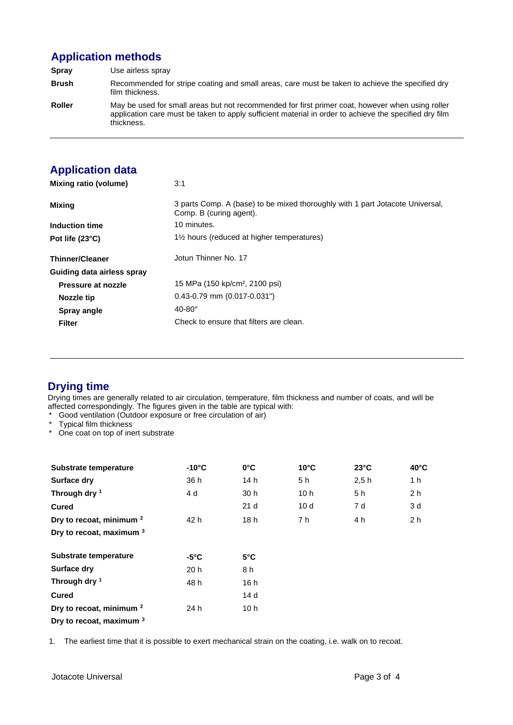# **Application methods**

**Spray** Use airless spray **Brush** Recommended for stripe coating and small areas, care must be taken to achieve the specified dry film thickness. **Roller** May be used for small areas but not recommended for first primer coat, however when using roller application care must be taken to apply sufficient material in order to achieve the specified dry film thickness.

# **Application data**

| Mixing ratio (volume)      | 3:1                                                                                                      |
|----------------------------|----------------------------------------------------------------------------------------------------------|
| <b>Mixing</b>              | 3 parts Comp. A (base) to be mixed thoroughly with 1 part Jotacote Universal,<br>Comp. B (curing agent). |
| Induction time             | 10 minutes.                                                                                              |
| Pot life (23°C)            | 1 <sup>1/2</sup> hours (reduced at higher temperatures)                                                  |
| <b>Thinner/Cleaner</b>     | Jotun Thinner No. 17                                                                                     |
| Guiding data airless spray |                                                                                                          |
| Pressure at nozzle         | 15 MPa (150 kp/cm <sup>2</sup> , 2100 psi)                                                               |
| <b>Nozzle tip</b>          | $0.43 - 0.79$ mm $(0.017 - 0.031")$                                                                      |
| Spray angle                | $40-80^\circ$                                                                                            |
| <b>Filter</b>              | Check to ensure that filters are clean.                                                                  |

# **Drying time**

Drying times are generally related to air circulation, temperature, film thickness and number of coats, and will be affected correspondingly. The figures given in the table are typical with:

- Good ventilation (Outdoor exposure or free circulation of air)
- \* Typical film thickness
- \* One coat on top of inert substrate

| Substrate temperature               | $-10^{\circ}$ C | $0^{\circ}$ C   | $10^{\circ}$ C | $23^{\circ}$ C | $40^{\circ}$ C |  |
|-------------------------------------|-----------------|-----------------|----------------|----------------|----------------|--|
| Surface dry                         | 36 h            | 14 h            | 5 h            | 2.5h           | 1 h            |  |
| Through dry $1$                     | 4 d             | 30 h            | 10h            | 5 h            | 2 <sub>h</sub> |  |
| <b>Cured</b>                        |                 | 21 <sub>d</sub> | 10d            | 7 d            | 3 d            |  |
| Dry to recoat, minimum <sup>2</sup> | 42 h            | 18h             | 7 h            | 4 h            | 2 <sub>h</sub> |  |
| Dry to recoat, maximum 3            |                 |                 |                |                |                |  |
| Substrate temperature               | $-5^{\circ}$ C  | $5^{\circ}$ C   |                |                |                |  |
| <b>Surface dry</b>                  | 20 <sub>h</sub> | 8 h             |                |                |                |  |
| Through dry 1                       | 48 h            | 16 h            |                |                |                |  |
| <b>Cured</b>                        |                 | 14 d            |                |                |                |  |
| Dry to recoat, minimum <sup>2</sup> | 24 h            | 10h             |                |                |                |  |
| Dry to recoat, maximum 3            |                 |                 |                |                |                |  |

1. The earliest time that it is possible to exert mechanical strain on the coating, i.e. walk on to recoat.